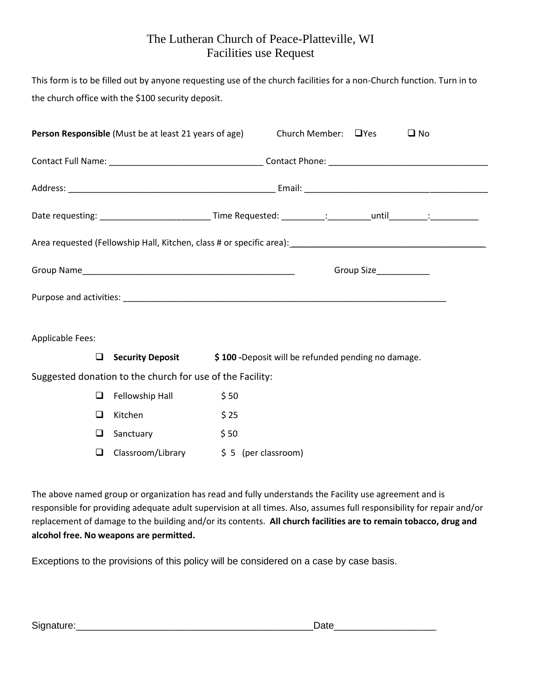## The Lutheran Church of Peace-Platteville, WI Facilities use Request

This form is to be filled out by anyone requesting use of the church facilities for a non-Church function. Turn in to the church office with the \$100 security deposit.

|                         | <b>Person Responsible</b> (Must be at least 21 years of age) | Church Member: $\Box$ Yes<br>$\square$ No                                                                      |
|-------------------------|--------------------------------------------------------------|----------------------------------------------------------------------------------------------------------------|
|                         |                                                              |                                                                                                                |
|                         |                                                              |                                                                                                                |
|                         |                                                              | Date requesting: _______________________________Time Requested: __________: __________until_________:_________ |
|                         |                                                              |                                                                                                                |
|                         |                                                              | Group Size___________                                                                                          |
|                         |                                                              |                                                                                                                |
| <b>Applicable Fees:</b> |                                                              |                                                                                                                |
| ◻                       | <b>Security Deposit</b>                                      | \$100 - Deposit will be refunded pending no damage.                                                            |
|                         | Suggested donation to the church for use of the Facility:    |                                                                                                                |
| ❏                       | Fellowship Hall                                              | \$50                                                                                                           |
|                         | Kitchen                                                      | \$25                                                                                                           |

|   | $\Box$ Fellowship Hall | \$50                 |
|---|------------------------|----------------------|
| ப | Kitchen                | \$25                 |
|   | $\Box$ Sanctuary       | \$50                 |
| ⊔ | Classroom/Library      | $$5$ (per classroom) |

The above named group or organization has read and fully understands the Facility use agreement and is responsible for providing adequate adult supervision at all times. Also, assumes full responsibility for repair and/or replacement of damage to the building and/or its contents. **All church facilities are to remain tobacco, drug and alcohol free. No weapons are permitted.** 

Exceptions to the provisions of this policy will be considered on a case by case basis.

| <b>.</b><br><br>יור |  |
|---------------------|--|
|                     |  |